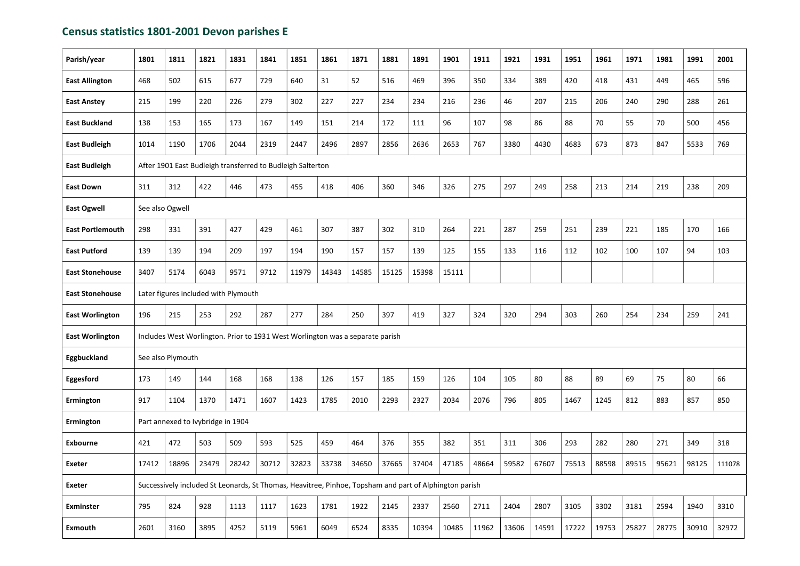## Census statistics 1801-2001 Devon parishes E

| Parish/year             | 1801                                                                                                   | 1811  | 1821  | 1831  | 1841  | 1851  | 1861  | 1871  | 1881  | 1891  | 1901  | 1911  | 1921  | 1931  | 1951  | 1961  | 1971  | 1981  | 1991  | 2001   |
|-------------------------|--------------------------------------------------------------------------------------------------------|-------|-------|-------|-------|-------|-------|-------|-------|-------|-------|-------|-------|-------|-------|-------|-------|-------|-------|--------|
| <b>East Allington</b>   | 468                                                                                                    | 502   | 615   | 677   | 729   | 640   | 31    | 52    | 516   | 469   | 396   | 350   | 334   | 389   | 420   | 418   | 431   | 449   | 465   | 596    |
| <b>East Anstey</b>      | 215                                                                                                    | 199   | 220   | 226   | 279   | 302   | 227   | 227   | 234   | 234   | 216   | 236   | 46    | 207   | 215   | 206   | 240   | 290   | 288   | 261    |
| <b>East Buckland</b>    | 138                                                                                                    | 153   | 165   | 173   | 167   | 149   | 151   | 214   | 172   | 111   | 96    | 107   | 98    | 86    | 88    | 70    | 55    | 70    | 500   | 456    |
| <b>East Budleigh</b>    | 1014                                                                                                   | 1190  | 1706  | 2044  | 2319  | 2447  | 2496  | 2897  | 2856  | 2636  | 2653  | 767   | 3380  | 4430  | 4683  | 673   | 873   | 847   | 5533  | 769    |
| <b>East Budleigh</b>    | After 1901 East Budleigh transferred to Budleigh Salterton                                             |       |       |       |       |       |       |       |       |       |       |       |       |       |       |       |       |       |       |        |
| <b>East Down</b>        | 311                                                                                                    | 312   | 422   | 446   | 473   | 455   | 418   | 406   | 360   | 346   | 326   | 275   | 297   | 249   | 258   | 213   | 214   | 219   | 238   | 209    |
| <b>East Ogwell</b>      | See also Ogwell                                                                                        |       |       |       |       |       |       |       |       |       |       |       |       |       |       |       |       |       |       |        |
| <b>East Portlemouth</b> | 298                                                                                                    | 331   | 391   | 427   | 429   | 461   | 307   | 387   | 302   | 310   | 264   | 221   | 287   | 259   | 251   | 239   | 221   | 185   | 170   | 166    |
| <b>East Putford</b>     | 139                                                                                                    | 139   | 194   | 209   | 197   | 194   | 190   | 157   | 157   | 139   | 125   | 155   | 133   | 116   | 112   | 102   | 100   | 107   | 94    | 103    |
| <b>East Stonehouse</b>  | 3407                                                                                                   | 5174  | 6043  | 9571  | 9712  | 11979 | 14343 | 14585 | 15125 | 15398 | 15111 |       |       |       |       |       |       |       |       |        |
| <b>East Stonehouse</b>  | Later figures included with Plymouth                                                                   |       |       |       |       |       |       |       |       |       |       |       |       |       |       |       |       |       |       |        |
| <b>East Worlington</b>  | 196                                                                                                    | 215   | 253   | 292   | 287   | 277   | 284   | 250   | 397   | 419   | 327   | 324   | 320   | 294   | 303   | 260   | 254   | 234   | 259   | 241    |
| <b>East Worlington</b>  | Includes West Worlington. Prior to 1931 West Worlington was a separate parish                          |       |       |       |       |       |       |       |       |       |       |       |       |       |       |       |       |       |       |        |
| Eggbuckland             | See also Plymouth                                                                                      |       |       |       |       |       |       |       |       |       |       |       |       |       |       |       |       |       |       |        |
| Eggesford               | 173                                                                                                    | 149   | 144   | 168   | 168   | 138   | 126   | 157   | 185   | 159   | 126   | 104   | 105   | 80    | 88    | 89    | 69    | 75    | 80    | 66     |
| Ermington               | 917                                                                                                    | 1104  | 1370  | 1471  | 1607  | 1423  | 1785  | 2010  | 2293  | 2327  | 2034  | 2076  | 796   | 805   | 1467  | 1245  | 812   | 883   | 857   | 850    |
| Ermington               | Part annexed to Ivybridge in 1904                                                                      |       |       |       |       |       |       |       |       |       |       |       |       |       |       |       |       |       |       |        |
| Exbourne                | 421                                                                                                    | 472   | 503   | 509   | 593   | 525   | 459   | 464   | 376   | 355   | 382   | 351   | 311   | 306   | 293   | 282   | 280   | 271   | 349   | 318    |
| <b>Exeter</b>           | 17412                                                                                                  | 18896 | 23479 | 28242 | 30712 | 32823 | 33738 | 34650 | 37665 | 37404 | 47185 | 48664 | 59582 | 67607 | 75513 | 88598 | 89515 | 95621 | 98125 | 111078 |
| <b>Exeter</b>           | Successively included St Leonards, St Thomas, Heavitree, Pinhoe, Topsham and part of Alphington parish |       |       |       |       |       |       |       |       |       |       |       |       |       |       |       |       |       |       |        |
| <b>Exminster</b>        | 795                                                                                                    | 824   | 928   | 1113  | 1117  | 1623  | 1781  | 1922  | 2145  | 2337  | 2560  | 2711  | 2404  | 2807  | 3105  | 3302  | 3181  | 2594  | 1940  | 3310   |
| <b>Exmouth</b>          | 2601                                                                                                   | 3160  | 3895  | 4252  | 5119  | 5961  | 6049  | 6524  | 8335  | 10394 | 10485 | 11962 | 13606 | 14591 | 17222 | 19753 | 25827 | 28775 | 30910 | 32972  |